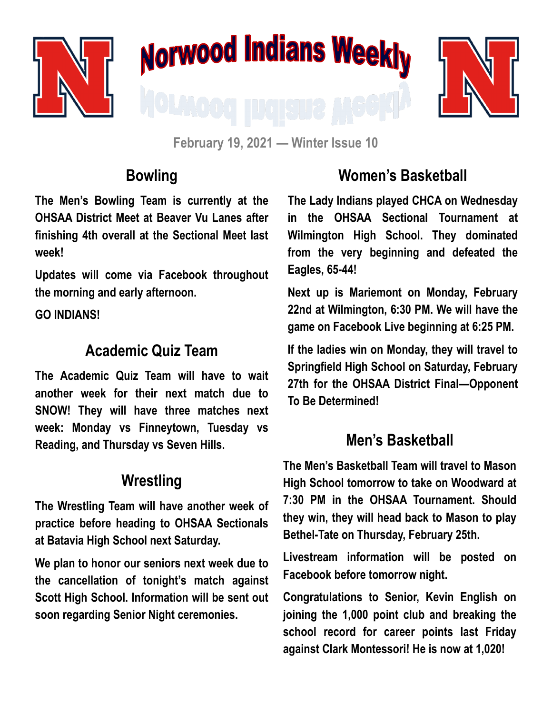





**February 19, 2021 — Winter Issue 10**

### **Bowling**

**The Men's Bowling Team is currently at the OHSAA District Meet at Beaver Vu Lanes after finishing 4th overall at the Sectional Meet last week!**

**Updates will come via Facebook throughout the morning and early afternoon.**

**GO INDIANS!**

#### **Academic Quiz Team**

**The Academic Quiz Team will have to wait another week for their next match due to SNOW! They will have three matches next week: Monday vs Finneytown, Tuesday vs Reading, and Thursday vs Seven Hills.**

## **Wrestling**

**The Wrestling Team will have another week of practice before heading to OHSAA Sectionals at Batavia High School next Saturday.** 

**We plan to honor our seniors next week due to the cancellation of tonight's match against Scott High School. Information will be sent out soon regarding Senior Night ceremonies.**

# **Women's Basketball**

**The Lady Indians played CHCA on Wednesday in the OHSAA Sectional Tournament at Wilmington High School. They dominated from the very beginning and defeated the Eagles, 65-44!**

**Next up is Mariemont on Monday, February 22nd at Wilmington, 6:30 PM. We will have the game on Facebook Live beginning at 6:25 PM.** 

**If the ladies win on Monday, they will travel to Springfield High School on Saturday, February 27th for the OHSAA District Final—Opponent To Be Determined!**

### **Men's Basketball**

**The Men's Basketball Team will travel to Mason High School tomorrow to take on Woodward at 7:30 PM in the OHSAA Tournament. Should they win, they will head back to Mason to play Bethel-Tate on Thursday, February 25th.** 

**Livestream information will be posted on Facebook before tomorrow night.** 

**Congratulations to Senior, Kevin English on joining the 1,000 point club and breaking the school record for career points last Friday against Clark Montessori! He is now at 1,020!**